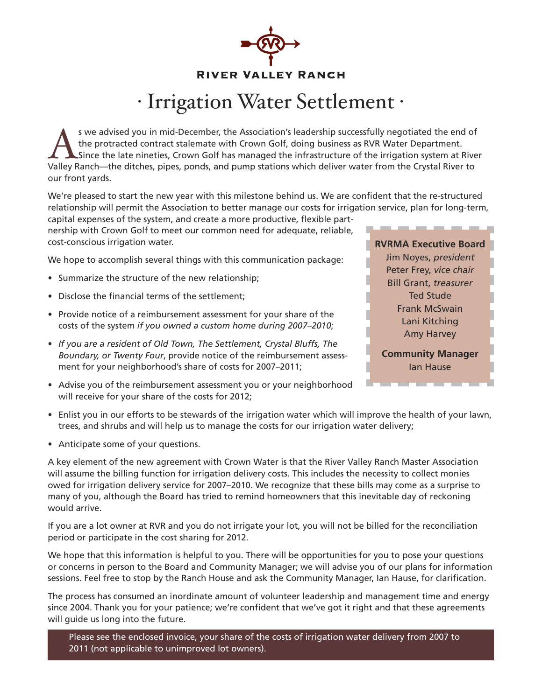

# · IrrigationWater Settlement ·

S we advised you in mid-December, the Association's leadership successfully negotiated the end of the protracted contract stalemate with Crown Golf, doing business as RVR Water Department.<br>Since the late nineties, Crown Go the protracted contract stalemate with Crown Golf, doing business as RVR Water Department. Valley Ranch—the ditches, pipes, ponds, and pump stations which deliver water from the Crystal River to our front yards.

We're pleased to start the new year with this milestone behind us. We are confident that the re-structured relationship will permit the Association to better manage our costs for irrigation service, plan for long-term, capital expenses of the system, and create a more productive, flexible part-

nership with Crown Golf to meet our common need for adequate, reliable, cost-conscious irrigation water.

We hope to accomplish several things with this communication package:

- Summarize the structure of the new relationship;
- Disclose the financial terms of the settlement;
- Provide notice of a reimbursement assessment for your share of the costs of the system *if you owned a custom home during 2007–2010*;
- *If you are a resident of Old Town, The Settlement, Crystal Bluffs, The Boundary, or Twenty Four*, provide notice of the reimbursement assessment for your neighborhood's share of costs for 2007–2011;
- Advise you of the reimbursement assessment you or your neighborhood will receive for your share of the costs for 2012;



- Enlist you in our efforts to be stewards of the irrigation water which will improve the health of your lawn, trees, and shrubs and will help us to manage the costs for our irrigation water delivery;
- Anticipate some of your questions.

A key element of the new agreement with Crown Water is that the River Valley Ranch Master Association will assume the billing function for irrigation delivery costs. This includes the necessity to collect monies owed for irrigation delivery service for 2007–2010. We recognize that these bills may come as a surprise to many of you, although the Board has tried to remind homeowners that this inevitable day of reckoning would arrive.

If you are a lot owner at RVR and you do not irrigate your lot, you will not be billed for the reconciliation period or participate in the cost sharing for 2012.

We hope that this information is helpful to you. There will be opportunities for you to pose your questions or concerns in person to the Board and Community Manager; we will advise you of our plans for information sessions. Feel free to stop by the Ranch House and ask the Community Manager, Ian Hause, for clarification.

The process has consumed an inordinate amount of volunteer leadership and management time and energy since 2004. Thank you for your patience; we're confident that we've got it right and that these agreements will guide us long into the future.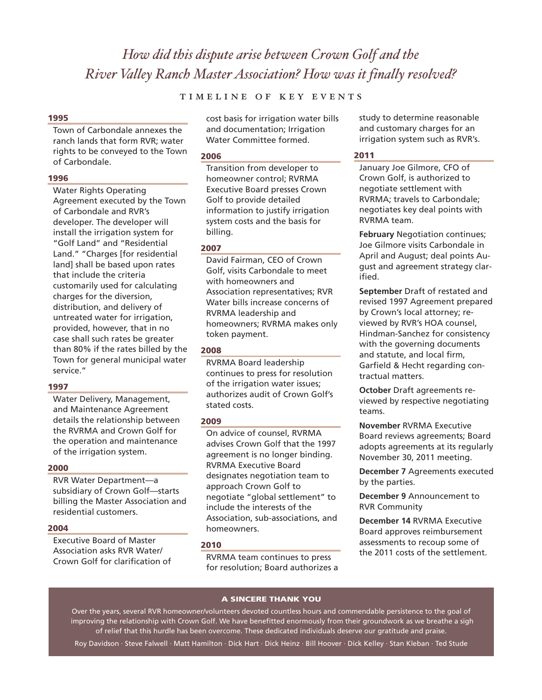# *How did this dispute arise between Crown Golf and the River Valley Ranch MasterAssociation? How was it finally resolved?*

# TIMELINE OF KEY EVENTS

#### **1995**

Town of Carbondale annexes the ranch lands that form RVR; water rights to be conveyed to the Town of Carbondale.

#### **1996**

Water Rights Operating Agreement executed by the Town of Carbondale and RVR's developer. The developer will install the irrigation system for "Golf Land" and "Residential Land." "Charges [for residential land] shall be based upon rates that include the criteria customarily used for calculating charges for the diversion, distribution, and delivery of untreated water for irrigation, provided, however, that in no case shall such rates be greater than 80% if the rates billed by the Town for general municipal water service."

#### **1997**

Water Delivery, Management, and Maintenance Agreement details the relationship between the RVRMA and Crown Golf for the operation and maintenance of the irrigation system.

## **2000**

RVR Water Department—a subsidiary of Crown Golf—starts billing the Master Association and residential customers.

#### **2004**

Executive Board of Master Association asks RVR Water/ Crown Golf for clarification of cost basis for irrigation water bills and documentation; Irrigation Water Committee formed.

#### **2006**

Transition from developer to homeowner control; RVRMA Executive Board presses Crown Golf to provide detailed information to justify irrigation system costs and the basis for billing.

### **2007**

David Fairman, CEO of Crown Golf, visits Carbondale to meet with homeowners and Association representatives; RVR Water bills increase concerns of RVRMA leadership and homeowners; RVRMA makes only token payment.

#### **2008**

RVRMA Board leadership continues to press for resolution of the irrigation water issues; authorizes audit of Crown Golf's stated costs.

#### **2009**

On advice of counsel, RVRMA advises Crown Golf that the 1997 agreement is no longer binding. RVRMA Executive Board designates negotiation team to approach Crown Golf to negotiate "global settlement" to include the interests of the Association, sub-associations, and homeowners.

#### **2010**

RVRMA team continues to press for resolution; Board authorizes a study to determine reasonable and customary charges for an irrigation system such as RVR's.

### **2011**

January Joe Gilmore, CFO of Crown Golf, is authorized to negotiate settlement with RVRMA; travels to Carbondale; negotiates key deal points with RVRMA team.

**February** Negotiation continues; Joe Gilmore visits Carbondale in April and August; deal points August and agreement strategy clarified.

**September** Draft of restated and revised 1997 Agreement prepared by Crown's local attorney; reviewed by RVR's HOA counsel, Hindman-Sanchez for consistency with the governing documents and statute, and local firm, Garfield & Hecht regarding contractual matters.

**October** Draft agreements reviewed by respective negotiating teams.

**November** RVRMA Executive Board reviews agreements; Board adopts agreements at its regularly November 30, 2011 meeting.

**December 7** Agreements executed by the parties.

**December 9** Announcement to RVR Community

**December 14** RVRMA Executive Board approves reimbursement assessments to recoup some of the 2011 costs of the settlement.

#### **A SINCERE THANK YOU**

Over the years, several RVR homeowner/volunteers devoted countless hours and commendable persistence to the goal of improving the relationship with Crown Golf. We have benefitted enormously from their groundwork as we breathe a sigh of relief that this hurdle has been overcome. These dedicated individuals deserve our gratitude and praise.

Roy Davidson · Steve Falwell · Matt Hamilton · Dick Hart · Dick Heinz · Bill Hoover · Dick Kelley · Stan Kleban · Ted Stude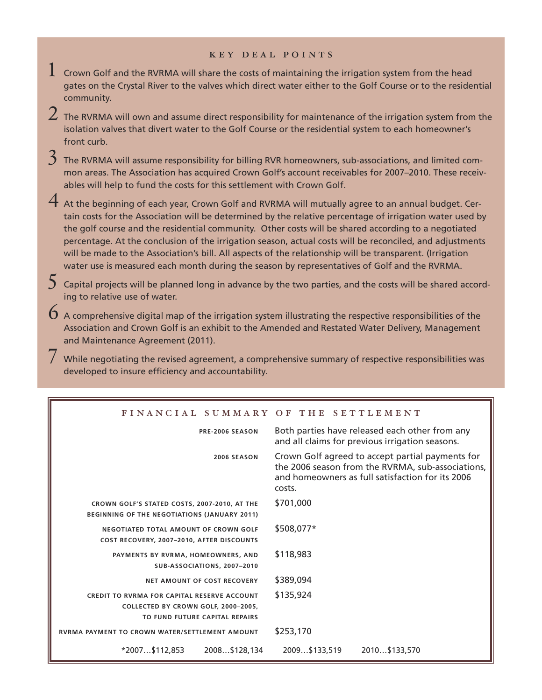## k e y d e a l p o i n t s

- $1$  Crown Golf and the RVRMA will share the costs of maintaining the irrigation system from the head gates on the Crystal River to the valves which direct water either to the Golf Course or to the residential community.
- $\,2\,$  The RVRMA will own and assume direct responsibility for maintenance of the irrigation system from the isolation valves that divert water to the Golf Course or the residential system to each homeowner's front curb.
- $3\,$  The RVRMA will assume responsibility for billing RVR homeowners, sub-associations, and limited common areas. The Association has acquired Crown Golf's account receivables for 2007–2010. These receivables will help to fund the costs for this settlement with Crown Golf.
- $4$  At the beginning of each year, Crown Golf and RVRMA will mutually agree to an annual budget. Certain costs for the Association will be determined by the relative percentage of irrigation water used by the golf course and the residential community. Other costs will be shared according to a negotiated percentage. At the conclusion of the irrigation season, actual costs will be reconciled, and adjustments will be made to the Association's bill. All aspects of the relationship will be transparent. (Irrigation water use is measured each month during the season by representatives of Golf and the RVRMA.
- $5$  Capital projects will be planned long in advance by the two parties, and the costs will be shared according to relative use of water.
- $\bm{6}$  A comprehensive digital map of the irrigation system illustrating the respective responsibilities of the Association and Crown Golf is an exhibit to the Amended and Restated Water Delivery, Management and Maintenance Agreement (2011).
	- While negotiating the revised agreement, a comprehensive summary of respective responsibilities was developed to insure efficiency and accountability.

|  | FINANCIAL SUMMARY OF THE SETTLEMENT |
|--|-------------------------------------|

| PRE-2006 SEASON                                                                                                             | Both parties have released each other from any<br>and all claims for previous irrigation seasons.                                                                   |  |  |
|-----------------------------------------------------------------------------------------------------------------------------|---------------------------------------------------------------------------------------------------------------------------------------------------------------------|--|--|
| <b>2006 SEASON</b>                                                                                                          | Crown Golf agreed to accept partial payments for<br>the 2006 season from the RVRMA, sub-associations,<br>and homeowners as full satisfaction for its 2006<br>costs. |  |  |
| CROWN GOLF'S STATED COSTS, 2007-2010, AT THE<br>BEGINNING OF THE NEGOTIATIONS (JANUARY 2011)                                | \$701,000                                                                                                                                                           |  |  |
| NEGOTIATED TOTAL AMOUNT OF CROWN GOLF<br>COST RECOVERY, 2007-2010, AFTER DISCOUNTS                                          | \$508,077*                                                                                                                                                          |  |  |
| PAYMENTS BY RVRMA, HOMEOWNERS, AND<br>SUB-ASSOCIATIONS, 2007-2010                                                           | \$118,983                                                                                                                                                           |  |  |
| NET AMOUNT OF COST RECOVERY                                                                                                 | \$389,094                                                                                                                                                           |  |  |
| <b>CREDIT TO RVRMA FOR CAPITAL RESERVE ACCOUNT</b><br>COLLECTED BY CROWN GOLF, 2000-2005,<br>TO FUND FUTURE CAPITAL REPAIRS | \$135,924                                                                                                                                                           |  |  |
| RVRMA PAYMENT TO CROWN WATER/SETTLEMENT AMOUNT                                                                              | \$253,170                                                                                                                                                           |  |  |
| *2007\$112,853<br>2008\$128,134                                                                                             | 2009\$133,519<br>2010\$133,570                                                                                                                                      |  |  |
|                                                                                                                             |                                                                                                                                                                     |  |  |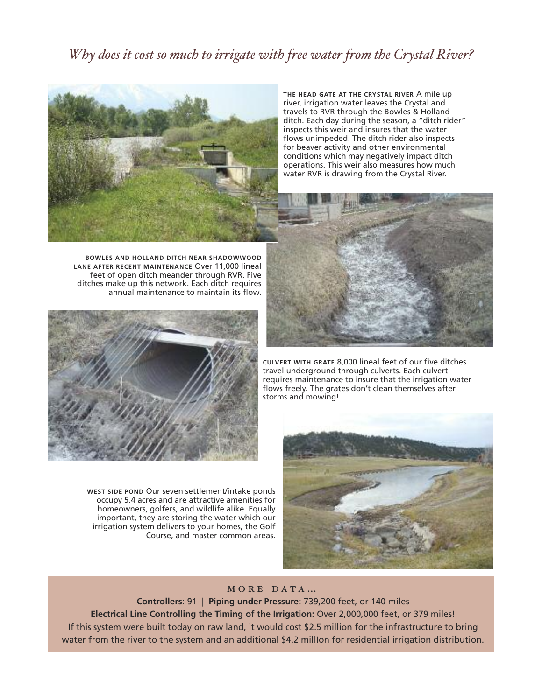# *Why does it cost so much to irrigate with free water from the Crystal River?*



**THE HEAD GATE AT THE CRYSTAL RIVER** A mile up river, irrigation water leaves the Crystal and travels to RVR through the Bowles & Holland ditch. Each day during the season, a "ditch rider" inspects this weir and insures that the water flows unimpeded. The ditch rider also inspects for beaver activity and other environmental conditions which may negatively impact ditch operations. This weir also measures how much water RVR is drawing from the Crystal River.



**BOWLES AND HOLLAND DITCH NEAR SHADOWWOOD LANE AFTER RECENT MAINTENANCE** Over 11,000 lineal feet of open ditch meander through RVR. Five ditches make up this network. Each ditch requires annual maintenance to maintain its flow.



**WEST SIDE POND** Our seven settlement/intake ponds occupy 5.4 acres and are attractive amenities for homeowners, golfers, and wildlife alike. Equally important, they are storing the water which our irrigation system delivers to your homes, the Golf Course, and master common areas.

**CULVERT WITH GRATE** 8,000 lineal feet of our five ditches travel underground through culverts. Each culvert requires maintenance to insure that the irrigation water flows freely. The grates don't clean themselves after storms and mowing!



# MORE DATA...

**Controllers**: 91 | **Piping under Pressure:** 739,200 feet, or 140 miles **Electrical Line Controlling the Timing of the Irrigation:** Over 2,000,000 feet, or 379 miles! If this system were built today on raw land, it would cost \$2.5 million for the infrastructure to bring water from the river to the system and an additional \$4.2 millIon for residential irrigation distribution.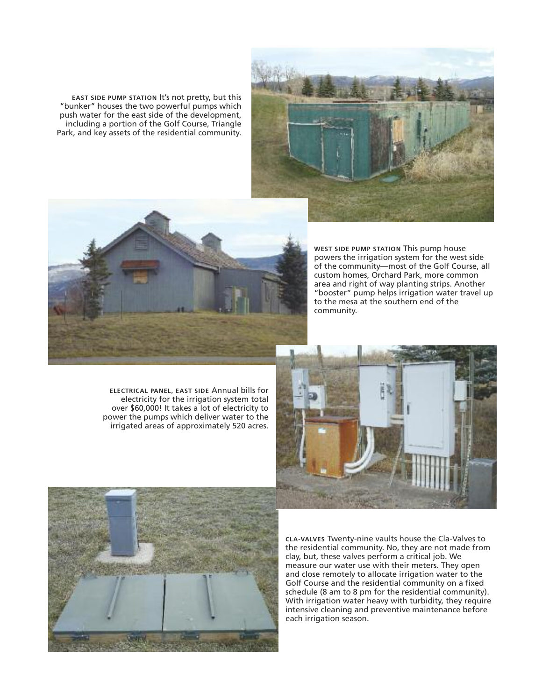**EAST SIDE PUMP STATION** It's not pretty, but this "bunker" houses the two powerful pumps which push water for the east side of the development, including a portion of the Golf Course, Triangle Park, and key assets of the residential community.





**WEST SIDE PUMP STATION** This pump house powers the irrigation system for the west side of the community—most of the Golf Course, all custom homes, Orchard Park, more common area and right of way planting strips. Another "booster" pump helps irrigation water travel up to the mesa at the southern end of the community.

**ELECTRICAL PANEL, EAST SIDE** Annual bills for electricity for the irrigation system total over \$60,000! It takes a lot of electricity to power the pumps which deliver water to the irrigated areas of approximately 520 acres.





**CLA-VALVES** Twenty-nine vaults house the Cla-Valves to the residential community. No, they are not made from clay, but, these valves perform a critical job. We measure our water use with their meters. They open and close remotely to allocate irrigation water to the Golf Course and the residential community on a fixed schedule (8 am to 8 pm for the residential community). With irrigation water heavy with turbidity, they require intensive cleaning and preventive maintenance before each irrigation season.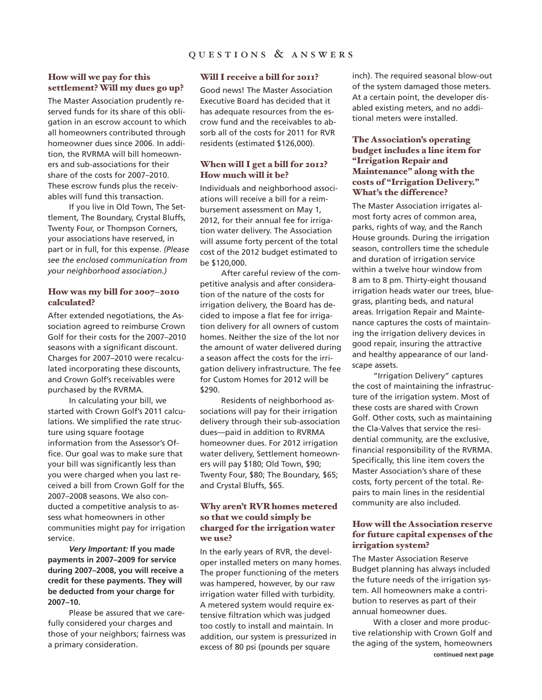# **How will we pay for this settlement?Will my dues go up?**

The Master Association prudently reserved funds for its share of this obligation in an escrow account to which all homeowners contributed through homeowner dues since 2006. In addition, the RVRMA will bill homeowners and sub-associations for their share of the costs for 2007–2010. These escrow funds plus the receivables will fund this transaction.

If you live in Old Town, The Settlement, The Boundary, Crystal Bluffs, Twenty Four, or Thompson Corners, your associations have reserved, in part or in full, for this expense. *(Please see the enclosed communication from your neighborhood association.)*

# **How was my bill for 2007–2010 calculated?**

After extended negotiations, the Association agreed to reimburse Crown Golf for their costs for the 2007–2010 seasons with a significant discount. Charges for 2007–2010 were recalculated incorporating these discounts, and Crown Golf's receivables were purchased by the RVRMA.

In calculating your bill, we started with Crown Golf's 2011 calculations. We simplified the rate structure using square footage information from the Assessor's Office. Our goal was to make sure that your bill was significantly less than you were charged when you last received a bill from Crown Golf for the 2007–2008 seasons. We also conducted a competitive analysis to assess what homeowners in other communities might pay for irrigation service.

*Very Important:* **If you made payments in 2007–2009 for service during 2007–2008, you will receive a credit for these payments. They will be deducted from your charge for 2007–10.**

Please be assured that we carefully considered your charges and those of your neighbors; fairness was a primary consideration.

#### **Will I receive a bill for 2011?**

Good news! The Master Association Executive Board has decided that it has adequate resources from the escrow fund and the receivables to absorb all of the costs for 2011 for RVR residents (estimated \$126,000).

# **When will I get a bill for 2012? How much will it be?**

Individuals and neighborhood associations will receive a bill for a reimbursement assessment on May 1, 2012, for their annual fee for irrigation water delivery. The Association will assume forty percent of the total cost of the 2012 budget estimated to be \$120,000.

After careful review of the competitive analysis and after consideration of the nature of the costs for irrigation delivery, the Board has decided to impose a flat fee for irrigation delivery for all owners of custom homes. Neither the size of the lot nor the amount of water delivered during a season affect the costs for the irrigation delivery infrastructure. The fee for Custom Homes for 2012 will be \$290.

Residents of neighborhood associations will pay for their irrigation delivery through their sub-association dues—paid in addition to RVRMA homeowner dues. For 2012 irrigation water delivery, Settlement homeowners will pay \$180; Old Town, \$90; Twenty Four, \$80; The Boundary, \$65; and Crystal Bluffs, \$65.

# **Why aren't RVR homes metered so that we could simply be charged for the irrigation water we use?**

In the early years of RVR, the developer installed meters on many homes. The proper functioning of the meters was hampered, however, by our raw irrigation water filled with turbidity. A metered system would require extensive filtration which was judged too costly to install and maintain. In addition, our system is pressurized in excess of 80 psi (pounds per square

inch). The required seasonal blow-out of the system damaged those meters. At a certain point, the developer disabled existing meters, and no additional meters were installed.

# **The Association's operating budget includes a line item for "Irrigation Repair and Maintenance" along with the costs of "Irrigation Delivery." What's the difference?**

The Master Association irrigates almost forty acres of common area, parks, rights of way, and the Ranch House grounds. During the irrigation season, controllers time the schedule and duration of irrigation service within a twelve hour window from 8 am to 8 pm. Thirty-eight thousand irrigation heads water our trees, bluegrass, planting beds, and natural areas. Irrigation Repair and Maintenance captures the costs of maintaining the irrigation delivery devices in good repair, insuring the attractive and healthy appearance of our landscape assets.

"Irrigation Delivery" captures the cost of maintaining the infrastructure of the irrigation system. Most of these costs are shared with Crown Golf. Other costs, such as maintaining the Cla-Valves that service the residential community, are the exclusive, financial responsibility of the RVRMA. Specifically, this line item covers the Master Association's share of these costs, forty percent of the total. Repairs to main lines in the residential community are also included.

# **How will the Association reserve for future capital expenses of the irrigation system?**

The Master Association Reserve Budget planning has always included the future needs of the irrigation system. All homeowners make a contribution to reserves as part of their annual homeowner dues.

With a closer and more productive relationship with Crown Golf and the aging of the system, homeowners **continued next page**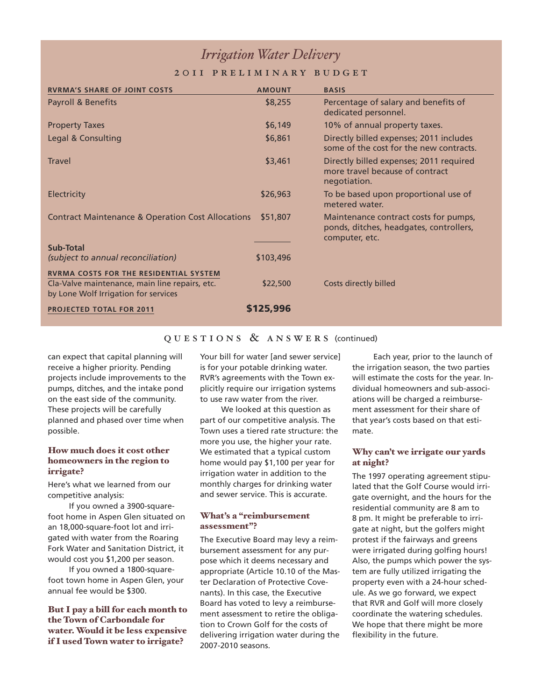# *IrrigationWater Delivery*

# 2 O I I PRELIMINARY BUDGET

| <b>RVRMA'S SHARE OF JOINT COSTS</b>                                                                                                     | <b>AMOUNT</b> | <b>BASIS</b>                                                                                       |
|-----------------------------------------------------------------------------------------------------------------------------------------|---------------|----------------------------------------------------------------------------------------------------|
| Payroll & Benefits                                                                                                                      | \$8,255       | Percentage of salary and benefits of<br>dedicated personnel.                                       |
| <b>Property Taxes</b>                                                                                                                   | \$6,149       | 10% of annual property taxes.                                                                      |
| Legal & Consulting                                                                                                                      | \$6,861       | Directly billed expenses; 2011 includes<br>some of the cost for the new contracts.                 |
| Travel                                                                                                                                  | \$3,461       | Directly billed expenses; 2011 required<br>more travel because of contract<br>negotiation.         |
| <b>Electricity</b>                                                                                                                      | \$26,963      | To be based upon proportional use of<br>metered water.                                             |
| <b>Contract Maintenance &amp; Operation Cost Allocations</b>                                                                            | \$51,807      | Maintenance contract costs for pumps,<br>ponds, ditches, headgates, controllers,<br>computer, etc. |
| <b>Sub-Total</b>                                                                                                                        |               |                                                                                                    |
| (subject to annual reconciliation)                                                                                                      | \$103,496     |                                                                                                    |
| <b>RVRMA COSTS FOR THE RESIDENTIAL SYSTEM</b><br>Cla-Valve maintenance, main line repairs, etc.<br>by Lone Wolf Irrigation for services | \$22,500      | Costs directly billed                                                                              |
| <b>PROJECTED TOTAL FOR 2011</b>                                                                                                         | \$125,996     |                                                                                                    |

# $Q U E S T I O N S \& A N S W E R S$  (continued)

can expect that capital planning will receive a higher priority. Pending projects include improvements to the pumps, ditches, and the intake pond on the east side of the community. These projects will be carefully planned and phased over time when possible.

# **How much does it cost other homeowners in the region to irrigate?**

Here's what we learned from our competitive analysis:

If you owned a 3900-squarefoot home in Aspen Glen situated on an 18,000-square-foot lot and irrigated with water from the Roaring Fork Water and Sanitation District, it would cost you \$1,200 per season.

If you owned a 1800-squarefoot town home in Aspen Glen, your annual fee would be \$300.

# **But I pay a bill for each month to the Town of Carbondale for water.Would it be less expensive if I used Town water to irrigate?**

Your bill for water [and sewer service] is for your potable drinking water. RVR's agreements with the Town explicitly require our irrigation systems to use raw water from the river.

We looked at this question as part of our competitive analysis. The Town uses a tiered rate structure: the more you use, the higher your rate. We estimated that a typical custom home would pay \$1,100 per year for irrigation water in addition to the monthly charges for drinking water and sewer service. This is accurate.

# **What's a "reimbursement assessment"?**

The Executive Board may levy a reimbursement assessment for any purpose which it deems necessary and appropriate (Article 10.10 of the Master Declaration of Protective Covenants). In this case, the Executive Board has voted to levy a reimbursement assessment to retire the obligation to Crown Golf for the costs of delivering irrigation water during the 2007-2010 seasons.

Each year, prior to the launch of the irrigation season, the two parties will estimate the costs for the year. Individual homeowners and sub-associations will be charged a reimbursement assessment for their share of that year's costs based on that estimate.

## **Why can't we irrigate our yards at night?**

The 1997 operating agreement stipulated that the Golf Course would irrigate overnight, and the hours for the residential community are 8 am to 8 pm. It might be preferable to irrigate at night, but the golfers might protest if the fairways and greens were irrigated during golfing hours! Also, the pumps which power the system are fully utilized irrigating the property even with a 24-hour schedule. As we go forward, we expect that RVR and Golf will more closely coordinate the watering schedules. We hope that there might be more flexibility in the future.